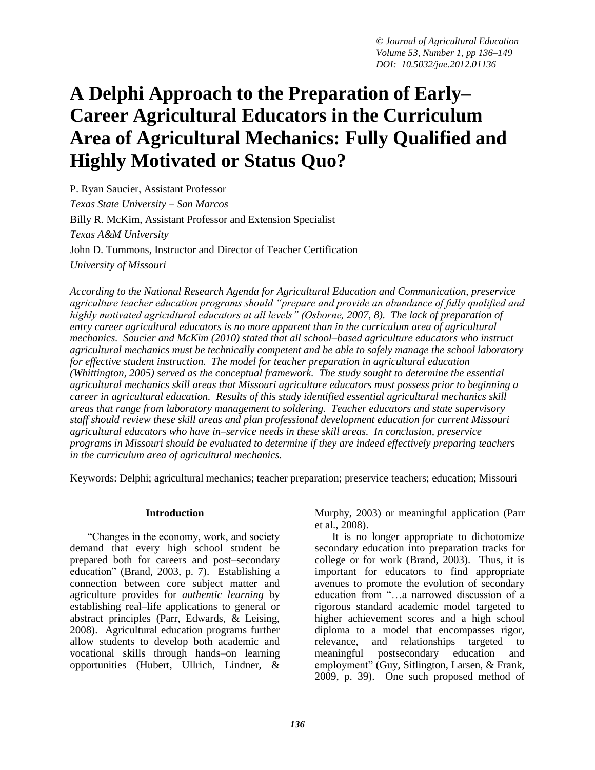# **A Delphi Approach to the Preparation of Early– Career Agricultural Educators in the Curriculum Area of Agricultural Mechanics: Fully Qualified and Highly Motivated or Status Quo?**

P. Ryan Saucier, Assistant Professor *Texas State University – San Marcos* Billy R. McKim, Assistant Professor and Extension Specialist *Texas A&M University* John D. Tummons, Instructor and Director of Teacher Certification *University of Missouri*

*According to the National Research Agenda for Agricultural Education and Communication, preservice agriculture teacher education programs should "prepare and provide an abundance of fully qualified and highly motivated agricultural educators at all levels" (Osborne, 2007, 8). The lack of preparation of entry career agricultural educators is no more apparent than in the curriculum area of agricultural mechanics. Saucier and McKim (2010) stated that all school–based agriculture educators who instruct agricultural mechanics must be technically competent and be able to safely manage the school laboratory for effective student instruction. The model for teacher preparation in agricultural education (Whittington, 2005) served as the conceptual framework. The study sought to determine the essential agricultural mechanics skill areas that Missouri agriculture educators must possess prior to beginning a career in agricultural education. Results of this study identified essential agricultural mechanics skill areas that range from laboratory management to soldering. Teacher educators and state supervisory staff should review these skill areas and plan professional development education for current Missouri agricultural educators who have in–service needs in these skill areas. In conclusion, preservice programs in Missouri should be evaluated to determine if they are indeed effectively preparing teachers in the curriculum area of agricultural mechanics.*

Keywords: Delphi; agricultural mechanics; teacher preparation; preservice teachers; education; Missouri

#### **Introduction**

"Changes in the economy, work, and society demand that every high school student be prepared both for careers and post–secondary education" (Brand, 2003, p. 7). Establishing a connection between core subject matter and agriculture provides for *authentic learning* by establishing real–life applications to general or abstract principles (Parr, Edwards, & Leising, 2008). Agricultural education programs further allow students to develop both academic and vocational skills through hands–on learning opportunities (Hubert, Ullrich, Lindner, &

Murphy, 2003) or meaningful application (Parr et al., 2008).

It is no longer appropriate to dichotomize secondary education into preparation tracks for college or for work (Brand, 2003). Thus, it is important for educators to find appropriate avenues to promote the evolution of secondary education from "…a narrowed discussion of a rigorous standard academic model targeted to higher achievement scores and a high school diploma to a model that encompasses rigor, relevance, and relationships targeted to meaningful postsecondary education and employment" (Guy, Sitlington, Larsen, & Frank, 2009, p. 39). One such proposed method of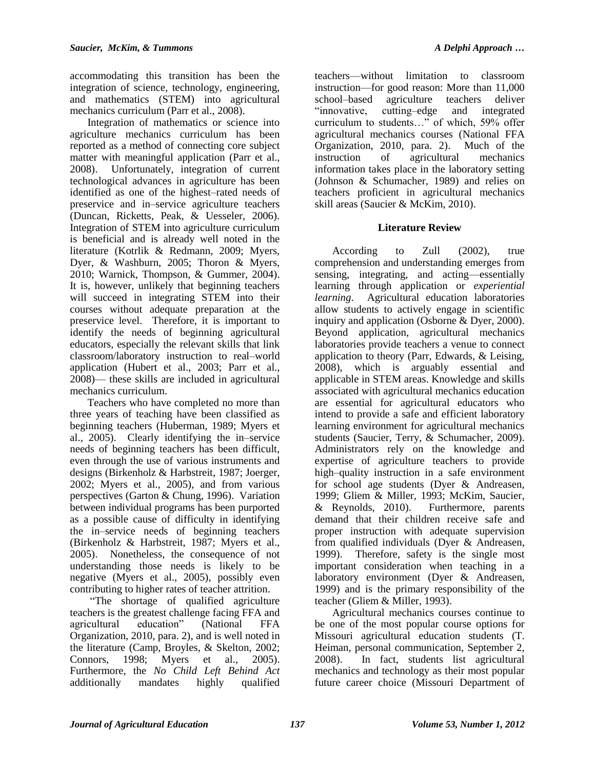accommodating this transition has been the integration of science, technology, engineering, and mathematics (STEM) into agricultural mechanics curriculum (Parr et al., 2008).

Integration of mathematics or science into agriculture mechanics curriculum has been reported as a method of connecting core subject matter with meaningful application (Parr et al., 2008). Unfortunately, integration of current technological advances in agriculture has been identified as one of the highest–rated needs of preservice and in–service agriculture teachers (Duncan, Ricketts, Peak, & Uesseler, 2006). Integration of STEM into agriculture curriculum is beneficial and is already well noted in the literature (Kotrlik & Redmann, 2009; Myers, Dyer, & Washburn, 2005; Thoron & Myers, 2010; Warnick, Thompson, & Gummer, 2004). It is, however, unlikely that beginning teachers will succeed in integrating STEM into their courses without adequate preparation at the preservice level. Therefore, it is important to identify the needs of beginning agricultural educators, especially the relevant skills that link classroom/laboratory instruction to real–world application (Hubert et al., 2003; Parr et al., 2008)— these skills are included in agricultural mechanics curriculum.

Teachers who have completed no more than three years of teaching have been classified as beginning teachers (Huberman, 1989; Myers et al., 2005). Clearly identifying the in–service needs of beginning teachers has been difficult, even through the use of various instruments and designs (Birkenholz & Harbstreit, 1987; Joerger, 2002; Myers et al., 2005), and from various perspectives (Garton & Chung, 1996). Variation between individual programs has been purported as a possible cause of difficulty in identifying the in–service needs of beginning teachers (Birkenholz & Harbstreit, 1987; Myers et al., 2005). Nonetheless, the consequence of not understanding those needs is likely to be negative (Myers et al., 2005), possibly even contributing to higher rates of teacher attrition.

"The shortage of qualified agriculture teachers is the greatest challenge facing FFA and agricultural education" (National FFA Organization, 2010, para. 2), and is well noted in the literature (Camp, Broyles, & Skelton, 2002; Connors, 1998; Myers et al., 2005). Furthermore, the *No Child Left Behind Act* additionally mandates highly qualified

teachers—without limitation to classroom instruction—for good reason: More than 11,000 school–based agriculture teachers deliver "innovative, cutting–edge and integrated curriculum to students…" of which, 59% offer agricultural mechanics courses (National FFA Organization, 2010, para. 2). Much of the instruction of agricultural mechanics information takes place in the laboratory setting (Johnson & Schumacher, 1989) and relies on teachers proficient in agricultural mechanics skill areas (Saucier & McKim, 2010).

# **Literature Review**

According to Zull (2002), true comprehension and understanding emerges from sensing, integrating, and acting—essentially learning through application or *experiential learning*. Agricultural education laboratories allow students to actively engage in scientific inquiry and application (Osborne & Dyer, 2000). Beyond application, agricultural mechanics laboratories provide teachers a venue to connect application to theory (Parr, Edwards, & Leising, 2008), which is arguably essential and applicable in STEM areas. Knowledge and skills associated with agricultural mechanics education are essential for agricultural educators who intend to provide a safe and efficient laboratory learning environment for agricultural mechanics students (Saucier, Terry, & Schumacher, 2009). Administrators rely on the knowledge and expertise of agriculture teachers to provide high–quality instruction in a safe environment for school age students (Dyer & Andreasen, 1999; Gliem & Miller, 1993; McKim, Saucier, & Reynolds, 2010). Furthermore, parents demand that their children receive safe and proper instruction with adequate supervision from qualified individuals (Dyer & Andreasen, 1999). Therefore, safety is the single most important consideration when teaching in a laboratory environment (Dyer & Andreasen, 1999) and is the primary responsibility of the teacher (Gliem & Miller, 1993).

Agricultural mechanics courses continue to be one of the most popular course options for Missouri agricultural education students (T. Heiman, personal communication, September 2, 2008). In fact, students list agricultural mechanics and technology as their most popular future career choice (Missouri Department of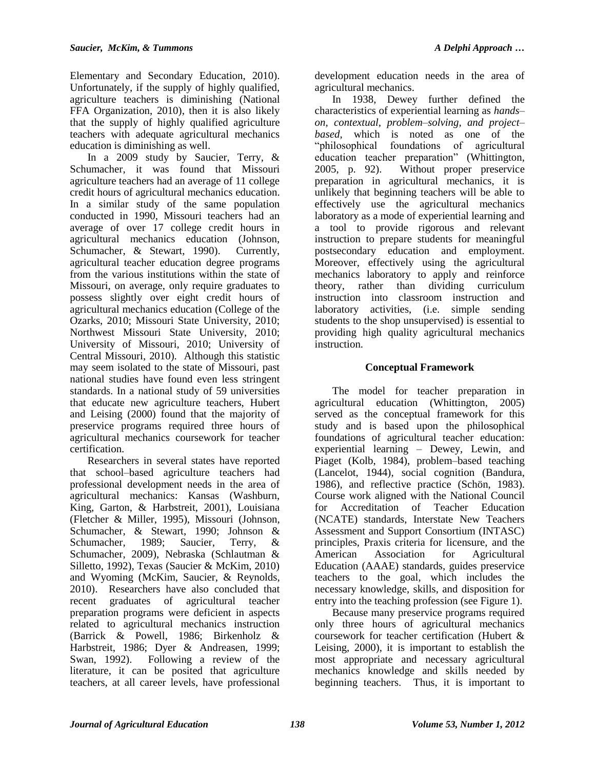Elementary and Secondary Education, 2010). Unfortunately, if the supply of highly qualified, agriculture teachers is diminishing (National FFA Organization, 2010), then it is also likely that the supply of highly qualified agriculture teachers with adequate agricultural mechanics education is diminishing as well.

In a 2009 study by Saucier, Terry, & Schumacher, it was found that Missouri agriculture teachers had an average of 11 college credit hours of agricultural mechanics education. In a similar study of the same population conducted in 1990, Missouri teachers had an average of over 17 college credit hours in agricultural mechanics education (Johnson, Schumacher, & Stewart, 1990). Currently, agricultural teacher education degree programs from the various institutions within the state of Missouri, on average, only require graduates to possess slightly over eight credit hours of agricultural mechanics education (College of the Ozarks, 2010; Missouri State University, 2010; Northwest Missouri State University, 2010; University of Missouri, 2010; University of Central Missouri, 2010). Although this statistic may seem isolated to the state of Missouri, past national studies have found even less stringent standards. In a national study of 59 universities that educate new agriculture teachers, Hubert and Leising (2000) found that the majority of preservice programs required three hours of agricultural mechanics coursework for teacher certification.

Researchers in several states have reported that school–based agriculture teachers had professional development needs in the area of agricultural mechanics: Kansas (Washburn, King, Garton, & Harbstreit, 2001), Louisiana (Fletcher & Miller, 1995), Missouri (Johnson, Schumacher, & Stewart, 1990; Johnson & Schumacher, 1989; Saucier, Terry, & Schumacher, 2009), Nebraska (Schlautman & Silletto, 1992), Texas (Saucier & McKim, 2010) and Wyoming (McKim, Saucier, & Reynolds, 2010). Researchers have also concluded that recent graduates of agricultural teacher preparation programs were deficient in aspects related to agricultural mechanics instruction (Barrick & Powell, 1986; Birkenholz & Harbstreit, 1986; Dyer & Andreasen, 1999; Swan, 1992). Following a review of the literature, it can be posited that agriculture teachers, at all career levels, have professional

development education needs in the area of agricultural mechanics.

In 1938, Dewey further defined the characteristics of experiential learning as *hands– on, contextual, problem–solving, and project– based*, which is noted as one of the "philosophical foundations of agricultural education teacher preparation" (Whittington, 2005, p. 92). Without proper preservice preparation in agricultural mechanics, it is unlikely that beginning teachers will be able to effectively use the agricultural mechanics laboratory as a mode of experiential learning and a tool to provide rigorous and relevant instruction to prepare students for meaningful postsecondary education and employment. Moreover, effectively using the agricultural mechanics laboratory to apply and reinforce theory, rather than dividing curriculum instruction into classroom instruction and laboratory activities, (i.e. simple sending students to the shop unsupervised) is essential to providing high quality agricultural mechanics instruction.

# **Conceptual Framework**

The model for teacher preparation in agricultural education (Whittington, 2005) served as the conceptual framework for this study and is based upon the philosophical foundations of agricultural teacher education: experiential learning – Dewey, Lewin, and Piaget (Kolb, 1984), problem–based teaching (Lancelot, 1944), social cognition (Bandura, 1986), and reflective practice (Schön, 1983). Course work aligned with the National Council for Accreditation of Teacher Education (NCATE) standards, Interstate New Teachers Assessment and Support Consortium (INTASC) principles, Praxis criteria for licensure, and the American Association for Agricultural Education (AAAE) standards, guides preservice teachers to the goal, which includes the necessary knowledge, skills, and disposition for entry into the teaching profession (see Figure 1).

Because many preservice programs required only three hours of agricultural mechanics coursework for teacher certification (Hubert & Leising, 2000), it is important to establish the most appropriate and necessary agricultural mechanics knowledge and skills needed by beginning teachers. Thus, it is important to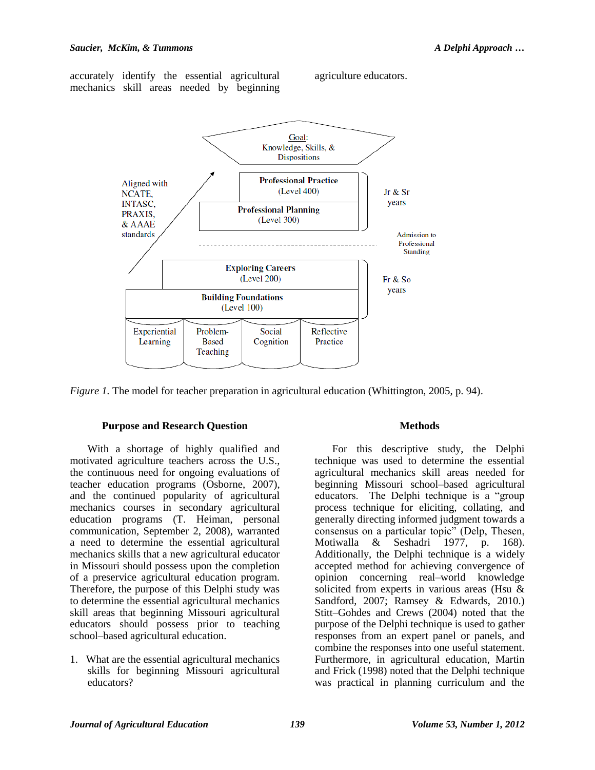accurately identify the essential agricultural mechanics skill areas needed by beginning



agriculture educators.

*Figure 1.* The model for teacher preparation in agricultural education (Whittington, 2005, p. 94).

## **Purpose and Research Question**

With a shortage of highly qualified and motivated agriculture teachers across the U.S., the continuous need for ongoing evaluations of teacher education programs (Osborne, 2007), and the continued popularity of agricultural mechanics courses in secondary agricultural education programs (T. Heiman, personal communication, September 2, 2008), warranted a need to determine the essential agricultural mechanics skills that a new agricultural educator in Missouri should possess upon the completion of a preservice agricultural education program. Therefore, the purpose of this Delphi study was to determine the essential agricultural mechanics skill areas that beginning Missouri agricultural educators should possess prior to teaching school–based agricultural education.

1. What are the essential agricultural mechanics skills for beginning Missouri agricultural educators?

## **Methods**

For this descriptive study, the Delphi technique was used to determine the essential agricultural mechanics skill areas needed for beginning Missouri school–based agricultural educators. The Delphi technique is a "group process technique for eliciting, collating, and generally directing informed judgment towards a consensus on a particular topic" (Delp, Thesen, Motiwalla & Seshadri 1977, p. 168). Additionally, the Delphi technique is a widely accepted method for achieving convergence of opinion concerning real–world knowledge solicited from experts in various areas (Hsu & Sandford, 2007; Ramsey & Edwards, 2010.) Stitt–Gohdes and Crews (2004) noted that the purpose of the Delphi technique is used to gather responses from an expert panel or panels, and combine the responses into one useful statement. Furthermore, in agricultural education, Martin and Frick (1998) noted that the Delphi technique was practical in planning curriculum and the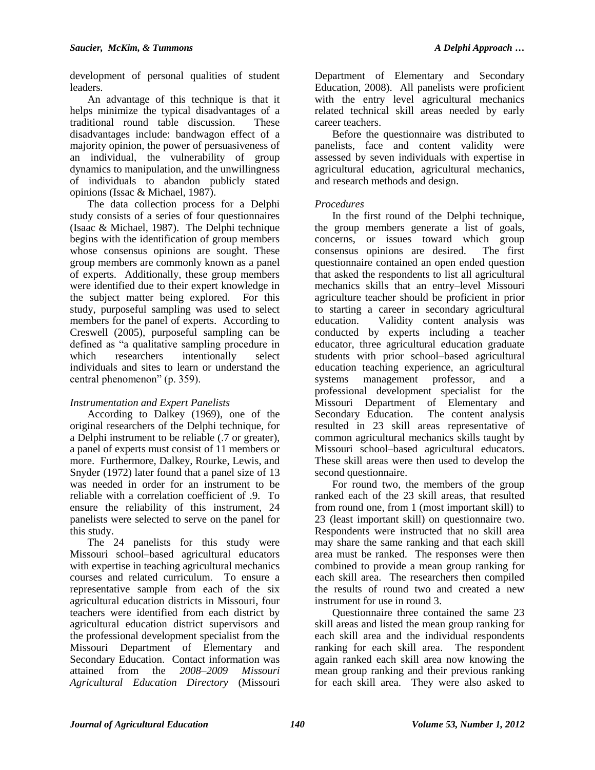development of personal qualities of student leaders.

An advantage of this technique is that it helps minimize the typical disadvantages of a traditional round table discussion. These disadvantages include: bandwagon effect of a majority opinion, the power of persuasiveness of an individual, the vulnerability of group dynamics to manipulation, and the unwillingness of individuals to abandon publicly stated opinions (Issac & Michael, 1987).

The data collection process for a Delphi study consists of a series of four questionnaires (Isaac & Michael, 1987). The Delphi technique begins with the identification of group members whose consensus opinions are sought. These group members are commonly known as a panel of experts. Additionally, these group members were identified due to their expert knowledge in the subject matter being explored. For this study, purposeful sampling was used to select members for the panel of experts. According to Creswell (2005), purposeful sampling can be defined as "a qualitative sampling procedure in which researchers intentionally select individuals and sites to learn or understand the central phenomenon" (p. 359).

# *Instrumentation and Expert Panelists*

According to Dalkey (1969), one of the original researchers of the Delphi technique, for a Delphi instrument to be reliable (.7 or greater), a panel of experts must consist of 11 members or more. Furthermore, Dalkey, Rourke, Lewis, and Snyder (1972) later found that a panel size of 13 was needed in order for an instrument to be reliable with a correlation coefficient of .9. To ensure the reliability of this instrument, 24 panelists were selected to serve on the panel for this study.

The 24 panelists for this study were Missouri school–based agricultural educators with expertise in teaching agricultural mechanics courses and related curriculum. To ensure a representative sample from each of the six agricultural education districts in Missouri, four teachers were identified from each district by agricultural education district supervisors and the professional development specialist from the Missouri Department of Elementary and Secondary Education. Contact information was attained from the *2008–2009 Missouri Agricultural Education Directory* (Missouri

Department of Elementary and Secondary Education, 2008). All panelists were proficient with the entry level agricultural mechanics related technical skill areas needed by early career teachers.

Before the questionnaire was distributed to panelists, face and content validity were assessed by seven individuals with expertise in agricultural education, agricultural mechanics, and research methods and design.

# *Procedures*

In the first round of the Delphi technique, the group members generate a list of goals, concerns, or issues toward which group consensus opinions are desired. The first questionnaire contained an open ended question that asked the respondents to list all agricultural mechanics skills that an entry–level Missouri agriculture teacher should be proficient in prior to starting a career in secondary agricultural education. Validity content analysis was conducted by experts including a teacher educator, three agricultural education graduate students with prior school–based agricultural education teaching experience, an agricultural systems management professor, and a professional development specialist for the Missouri Department of Elementary and Secondary Education. The content analysis resulted in 23 skill areas representative of common agricultural mechanics skills taught by Missouri school–based agricultural educators. These skill areas were then used to develop the second questionnaire.

For round two, the members of the group ranked each of the 23 skill areas, that resulted from round one, from 1 (most important skill) to 23 (least important skill) on questionnaire two. Respondents were instructed that no skill area may share the same ranking and that each skill area must be ranked. The responses were then combined to provide a mean group ranking for each skill area. The researchers then compiled the results of round two and created a new instrument for use in round 3.

Questionnaire three contained the same 23 skill areas and listed the mean group ranking for each skill area and the individual respondents ranking for each skill area. The respondent again ranked each skill area now knowing the mean group ranking and their previous ranking for each skill area. They were also asked to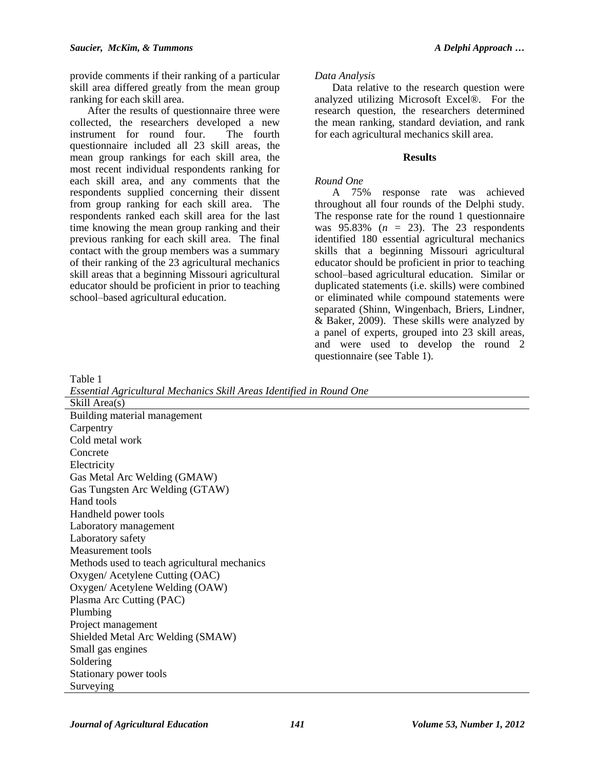provide comments if their ranking of a particular skill area differed greatly from the mean group ranking for each skill area.

After the results of questionnaire three were collected, the researchers developed a new instrument for round four. The fourth questionnaire included all 23 skill areas, the mean group rankings for each skill area, the most recent individual respondents ranking for each skill area, and any comments that the respondents supplied concerning their dissent from group ranking for each skill area. The respondents ranked each skill area for the last time knowing the mean group ranking and their previous ranking for each skill area. The final contact with the group members was a summary of their ranking of the 23 agricultural mechanics skill areas that a beginning Missouri agricultural educator should be proficient in prior to teaching school–based agricultural education.

## *Data Analysis*

Data relative to the research question were analyzed utilizing Microsoft Excel®. For the research question, the researchers determined the mean ranking, standard deviation, and rank for each agricultural mechanics skill area.

## **Results**

## *Round One*

A 75% response rate was achieved throughout all four rounds of the Delphi study. The response rate for the round 1 questionnaire was 95.83% (*n* = 23). The 23 respondents identified 180 essential agricultural mechanics skills that a beginning Missouri agricultural educator should be proficient in prior to teaching school–based agricultural education. Similar or duplicated statements (i.e. skills) were combined or eliminated while compound statements were separated (Shinn, Wingenbach, Briers, Lindner, & Baker, 2009). These skills were analyzed by a panel of experts, grouped into 23 skill areas, and were used to develop the round 2 questionnaire (see Table 1).

Table 1

*Essential Agricultural Mechanics Skill Areas Identified in Round One*

Skill Area(s) Building material management **Carpentry** Cold metal work Concrete Electricity Gas Metal Arc Welding (GMAW) Gas Tungsten Arc Welding (GTAW) Hand tools Handheld power tools Laboratory management Laboratory safety Measurement tools Methods used to teach agricultural mechanics Oxygen/ Acetylene Cutting (OAC) Oxygen/ Acetylene Welding (OAW) Plasma Arc Cutting (PAC) Plumbing Project management Shielded Metal Arc Welding (SMAW) Small gas engines Soldering Stationary power tools Surveying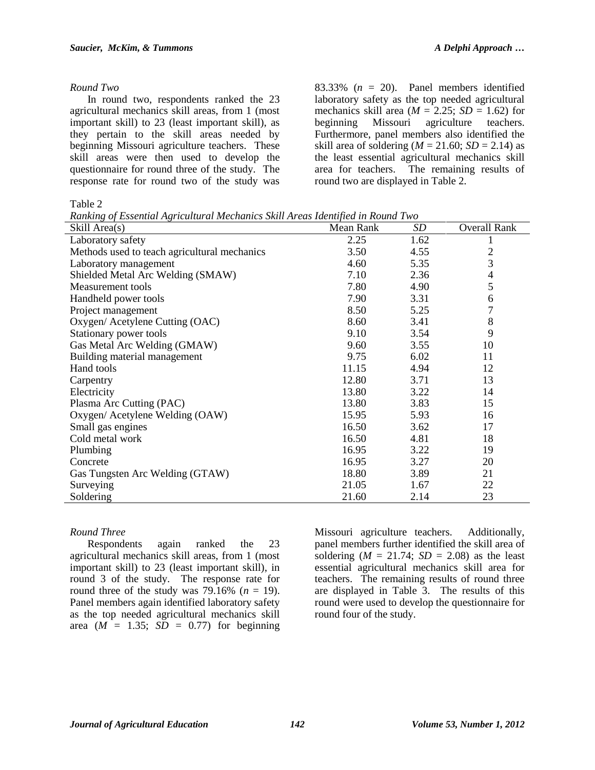#### *Round Two*

In round two, respondents ranked the 23 agricultural mechanics skill areas, from 1 (most important skill) to 23 (least important skill), as they pertain to the skill areas needed by beginning Missouri agriculture teachers. These skill areas were then used to develop the questionnaire for round three of the study. The response rate for round two of the study was 83.33%  $(n = 20)$ . Panel members identified laboratory safety as the top needed agricultural mechanics skill area  $(M = 2.25; SD = 1.62)$  for beginning Missouri agriculture teachers. Furthermore, panel members also identified the skill area of soldering ( $M = 21.60$ ;  $SD = 2.14$ ) as the least essential agricultural mechanics skill area for teachers. The remaining results of round two are displayed in Table 2.

Table 2

*Ranking of Essential Agricultural Mechanics Skill Areas Identified in Round Two*

| <u>Ramanix of Essenhan registemente incentances shah rreas racinglea in recuma r</u><br>Skill Area(s) | Mean Rank | SD   | <b>Overall Rank</b> |
|-------------------------------------------------------------------------------------------------------|-----------|------|---------------------|
| Laboratory safety                                                                                     | 2.25      | 1.62 |                     |
| Methods used to teach agricultural mechanics                                                          | 3.50      | 4.55 | $\overline{c}$      |
| Laboratory management                                                                                 | 4.60      | 5.35 | 3                   |
| Shielded Metal Arc Welding (SMAW)                                                                     | 7.10      | 2.36 | 4                   |
| Measurement tools                                                                                     | 7.80      | 4.90 | 5                   |
| Handheld power tools                                                                                  | 7.90      | 3.31 | 6                   |
| Project management                                                                                    | 8.50      | 5.25 | 7                   |
| Oxygen/ Acetylene Cutting (OAC)                                                                       | 8.60      | 3.41 | 8                   |
| Stationary power tools                                                                                | 9.10      | 3.54 | 9                   |
| Gas Metal Arc Welding (GMAW)                                                                          | 9.60      | 3.55 | 10                  |
| Building material management                                                                          | 9.75      | 6.02 | 11                  |
| Hand tools                                                                                            | 11.15     | 4.94 | 12                  |
| Carpentry                                                                                             | 12.80     | 3.71 | 13                  |
| Electricity                                                                                           | 13.80     | 3.22 | 14                  |
| Plasma Arc Cutting (PAC)                                                                              | 13.80     | 3.83 | 15                  |
| Oxygen/ Acetylene Welding (OAW)                                                                       | 15.95     | 5.93 | 16                  |
| Small gas engines                                                                                     | 16.50     | 3.62 | 17                  |
| Cold metal work                                                                                       | 16.50     | 4.81 | 18                  |
| Plumbing                                                                                              | 16.95     | 3.22 | 19                  |
| Concrete                                                                                              | 16.95     | 3.27 | 20                  |
| Gas Tungsten Arc Welding (GTAW)                                                                       | 18.80     | 3.89 | 21                  |
| Surveying                                                                                             | 21.05     | 1.67 | 22                  |
| Soldering                                                                                             | 21.60     | 2.14 | 23                  |

## *Round Three*

Respondents again ranked the 23 agricultural mechanics skill areas, from 1 (most important skill) to 23 (least important skill), in round 3 of the study. The response rate for round three of the study was  $79.16\%$  ( $n = 19$ ). Panel members again identified laboratory safety as the top needed agricultural mechanics skill area  $(M = 1.35; SD = 0.77)$  for beginning

Missouri agriculture teachers. Additionally, panel members further identified the skill area of soldering  $(M = 21.74; SD = 2.08)$  as the least essential agricultural mechanics skill area for teachers. The remaining results of round three are displayed in Table 3. The results of this round were used to develop the questionnaire for round four of the study.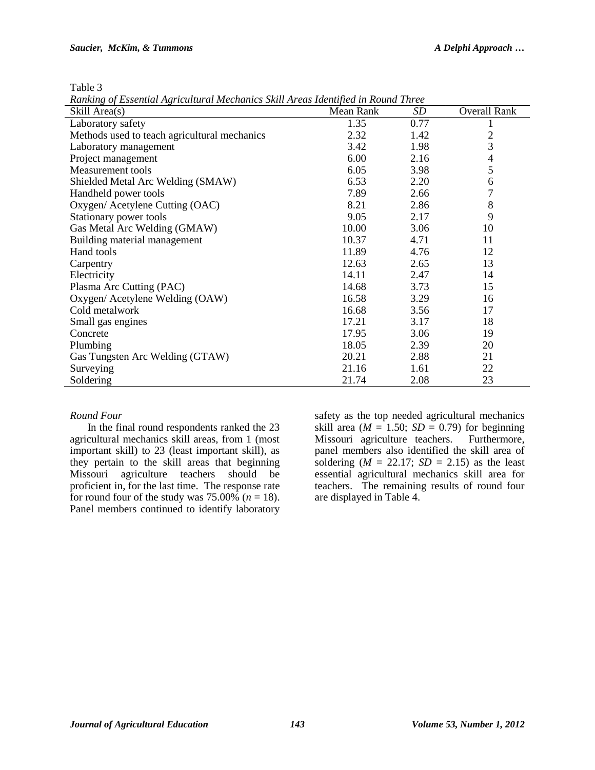Table 3

*Ranking of Essential Agricultural Mechanics Skill Areas Identified in Round Three*

| Skill Area(s)                                | Mean Rank | <b>SD</b> | <b>Overall Rank</b> |
|----------------------------------------------|-----------|-----------|---------------------|
| Laboratory safety                            | 1.35      | 0.77      |                     |
| Methods used to teach agricultural mechanics | 2.32      | 1.42      | $\overline{c}$      |
| Laboratory management                        | 3.42      | 1.98      | 3                   |
| Project management                           | 6.00      | 2.16      | $\overline{4}$      |
| Measurement tools                            | 6.05      | 3.98      | 5                   |
| Shielded Metal Arc Welding (SMAW)            | 6.53      | 2.20      | 6                   |
| Handheld power tools                         | 7.89      | 2.66      | $\overline{7}$      |
| Oxygen/ Acetylene Cutting (OAC)              | 8.21      | 2.86      | 8                   |
| Stationary power tools                       | 9.05      | 2.17      | 9                   |
| Gas Metal Arc Welding (GMAW)                 | 10.00     | 3.06      | 10                  |
| Building material management                 | 10.37     | 4.71      | 11                  |
| Hand tools                                   | 11.89     | 4.76      | 12                  |
| Carpentry                                    | 12.63     | 2.65      | 13                  |
| Electricity                                  | 14.11     | 2.47      | 14                  |
| Plasma Arc Cutting (PAC)                     | 14.68     | 3.73      | 15                  |
| Oxygen/ Acetylene Welding (OAW)              | 16.58     | 3.29      | 16                  |
| Cold metalwork                               | 16.68     | 3.56      | 17                  |
| Small gas engines                            | 17.21     | 3.17      | 18                  |
| Concrete                                     | 17.95     | 3.06      | 19                  |
| Plumbing                                     | 18.05     | 2.39      | 20                  |
| Gas Tungsten Arc Welding (GTAW)              | 20.21     | 2.88      | 21                  |
| Surveying                                    | 21.16     | 1.61      | 22                  |
| Soldering                                    | 21.74     | 2.08      | 23                  |

#### *Round Four*

In the final round respondents ranked the 23 agricultural mechanics skill areas, from 1 (most important skill) to 23 (least important skill), as they pertain to the skill areas that beginning<br>Missouri agriculture teachers should be Missouri agriculture teachers should be proficient in, for the last time. The response rate for round four of the study was  $75.00\%$  ( $n = 18$ ). Panel members continued to identify laboratory

safety as the top needed agricultural mechanics skill area ( $M = 1.50$ ;  $SD = 0.79$ ) for beginning Missouri agriculture teachers. Furthermore, panel members also identified the skill area of soldering  $(M = 22.17; SD = 2.15)$  as the least essential agricultural mechanics skill area for teachers. The remaining results of round four are displayed in Table 4.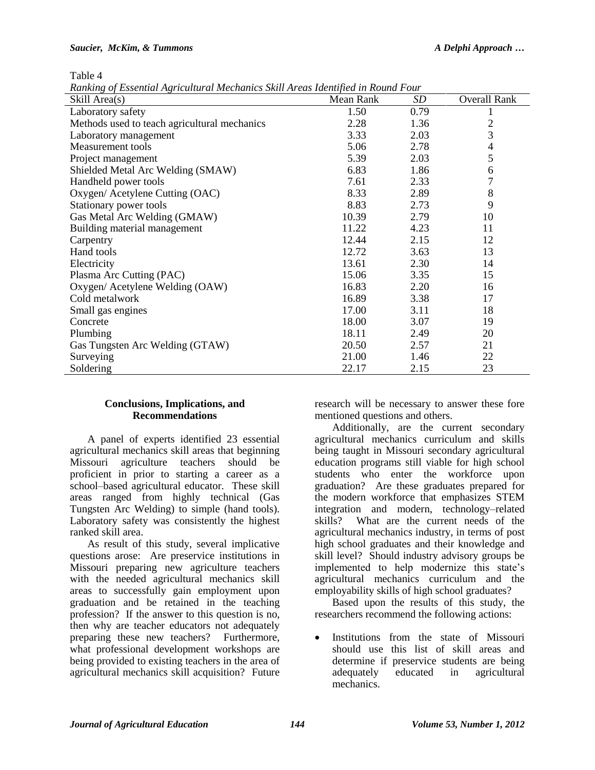#### *Saucier, McKim, & Tummons A Delphi Approach …*

Table 4

*Ranking of Essential Agricultural Mechanics Skill Areas Identified in Round Four*

| Skill Area(s)                                | Mean Rank | SD   | <b>Overall Rank</b> |
|----------------------------------------------|-----------|------|---------------------|
| Laboratory safety                            | 1.50      | 0.79 |                     |
| Methods used to teach agricultural mechanics | 2.28      | 1.36 | $\overline{c}$      |
| Laboratory management                        | 3.33      | 2.03 | 3                   |
| Measurement tools                            | 5.06      | 2.78 | 4                   |
| Project management                           | 5.39      | 2.03 | 5                   |
| Shielded Metal Arc Welding (SMAW)            | 6.83      | 1.86 | 6                   |
| Handheld power tools                         | 7.61      | 2.33 | $\overline{7}$      |
| Oxygen/ Acetylene Cutting (OAC)              | 8.33      | 2.89 | 8                   |
| Stationary power tools                       | 8.83      | 2.73 | 9                   |
| Gas Metal Arc Welding (GMAW)                 | 10.39     | 2.79 | 10                  |
| Building material management                 | 11.22     | 4.23 | 11                  |
| Carpentry                                    | 12.44     | 2.15 | 12                  |
| Hand tools                                   | 12.72     | 3.63 | 13                  |
| Electricity                                  | 13.61     | 2.30 | 14                  |
| Plasma Arc Cutting (PAC)                     | 15.06     | 3.35 | 15                  |
| Oxygen/ Acetylene Welding (OAW)              | 16.83     | 2.20 | 16                  |
| Cold metalwork                               | 16.89     | 3.38 | 17                  |
| Small gas engines                            | 17.00     | 3.11 | 18                  |
| Concrete                                     | 18.00     | 3.07 | 19                  |
| Plumbing                                     | 18.11     | 2.49 | 20                  |
| Gas Tungsten Arc Welding (GTAW)              | 20.50     | 2.57 | 21                  |
| Surveying                                    | 21.00     | 1.46 | 22                  |
| Soldering                                    | 22.17     | 2.15 | 23                  |

#### **Conclusions, Implications, and Recommendations**

A panel of experts identified 23 essential agricultural mechanics skill areas that beginning Missouri agriculture teachers should be proficient in prior to starting a career as a school–based agricultural educator. These skill areas ranged from highly technical (Gas Tungsten Arc Welding) to simple (hand tools). Laboratory safety was consistently the highest ranked skill area.

As result of this study, several implicative questions arose: Are preservice institutions in Missouri preparing new agriculture teachers with the needed agricultural mechanics skill areas to successfully gain employment upon graduation and be retained in the teaching profession? If the answer to this question is no, then why are teacher educators not adequately preparing these new teachers? Furthermore, what professional development workshops are being provided to existing teachers in the area of agricultural mechanics skill acquisition? Future

research will be necessary to answer these fore mentioned questions and others.

Additionally, are the current secondary agricultural mechanics curriculum and skills being taught in Missouri secondary agricultural education programs still viable for high school students who enter the workforce upon graduation? Are these graduates prepared for the modern workforce that emphasizes STEM integration and modern, technology–related skills? What are the current needs of the agricultural mechanics industry, in terms of post high school graduates and their knowledge and skill level? Should industry advisory groups be implemented to help modernize this state's agricultural mechanics curriculum and the employability skills of high school graduates?

Based upon the results of this study, the researchers recommend the following actions:

 Institutions from the state of Missouri should use this list of skill areas and determine if preservice students are being adequately educated in agricultural mechanics.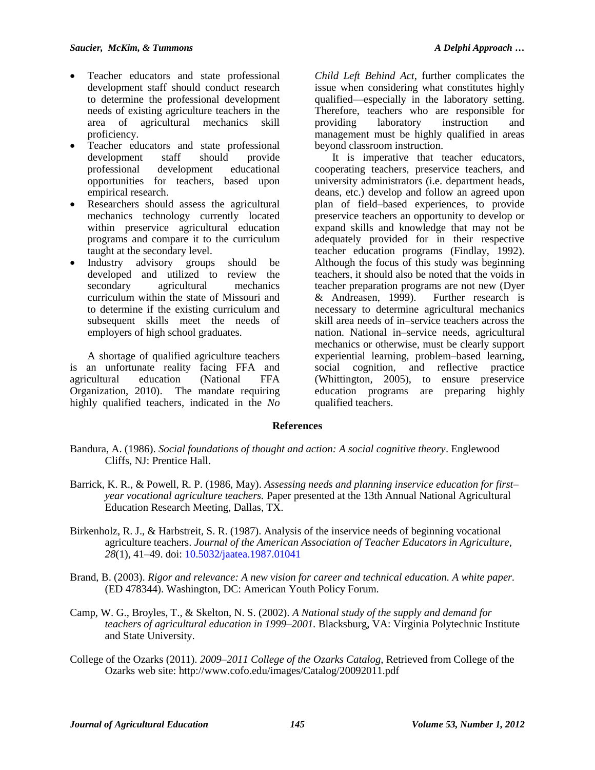- Teacher educators and state professional development staff should conduct research to determine the professional development needs of existing agriculture teachers in the area of agricultural mechanics skill proficiency.
- Teacher educators and state professional development staff should provide professional development educational opportunities for teachers, based upon empirical research.
- Researchers should assess the agricultural mechanics technology currently located within preservice agricultural education programs and compare it to the curriculum taught at the secondary level.
- Industry advisory groups should be developed and utilized to review the secondary agricultural mechanics curriculum within the state of Missouri and to determine if the existing curriculum and subsequent skills meet the needs of employers of high school graduates.

A shortage of qualified agriculture teachers is an unfortunate reality facing FFA and agricultural education (National FFA Organization, 2010). The mandate requiring highly qualified teachers, indicated in the *No* 

*Child Left Behind Act*, further complicates the issue when considering what constitutes highly qualified—especially in the laboratory setting. Therefore, teachers who are responsible for providing laboratory instruction and management must be highly qualified in areas beyond classroom instruction.

It is imperative that teacher educators, cooperating teachers, preservice teachers, and university administrators (i.e. department heads, deans, etc.) develop and follow an agreed upon plan of field–based experiences, to provide preservice teachers an opportunity to develop or expand skills and knowledge that may not be adequately provided for in their respective teacher education programs (Findlay, 1992). Although the focus of this study was beginning teachers, it should also be noted that the voids in teacher preparation programs are not new (Dyer & Andreasen, 1999). Further research is necessary to determine agricultural mechanics skill area needs of in–service teachers across the nation. National in–service needs, agricultural mechanics or otherwise, must be clearly support experiential learning, problem–based learning, social cognition, and reflective practice (Whittington, 2005), to ensure preservice education programs are preparing highly qualified teachers.

# **References**

- Bandura, A. (1986). *Social foundations of thought and action: A social cognitive theory*. Englewood Cliffs, NJ: Prentice Hall.
- Barrick, K. R., & Powell, R. P. (1986, May). *Assessing needs and planning inservice education for first– year vocational agriculture teachers.* Paper presented at the 13th Annual National Agricultural Education Research Meeting*,* Dallas, TX.
- Birkenholz, R. J., & Harbstreit, S. R. (1987). Analysis of the inservice needs of beginning vocational agriculture teachers. *Journal of the American Association of Teacher Educators in Agriculture, 28*(1), 41–49. doi: [10.5032/jaatea.1987.01041](http://dx.doi.org/10.5032/jaatea.1987.01041)
- Brand, B. (2003). *Rigor and relevance: A new vision for career and technical education. A white paper.* (ED 478344). Washington, DC: American Youth Policy Forum.
- Camp, W. G., Broyles, T., & Skelton, N. S. (2002). *A National study of the supply and demand for teachers of agricultural education in 1999–2001.* Blacksburg, VA: Virginia Polytechnic Institute and State University.
- College of the Ozarks (2011). *2009–2011 College of the Ozarks Catalog*, Retrieved from College of the Ozarks web site: http://www.cofo.edu/images/Catalog/20092011.pdf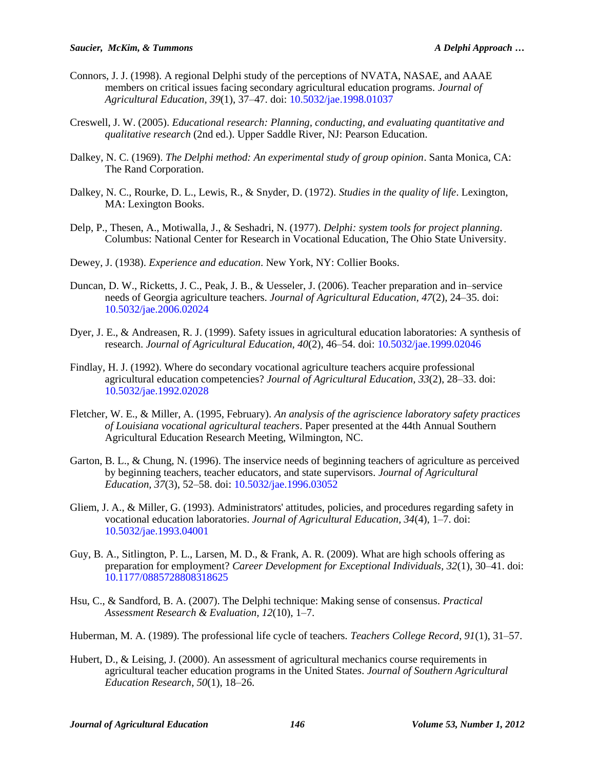- Connors, J. J. (1998). A regional Delphi study of the perceptions of NVATA, NASAE, and AAAE members on critical issues facing secondary agricultural education programs. *Journal of Agricultural Education, 39*(1), 37–47. doi: [10.5032/jae.1998.01037](http://dx.doi.org/10.5032/jae.1998.01037)
- Creswell, J. W. (2005). *Educational research: Planning, conducting, and evaluating quantitative and qualitative research* (2nd ed.). Upper Saddle River, NJ: Pearson Education.
- Dalkey, N. C. (1969). *The Delphi method: An experimental study of group opinion*. Santa Monica, CA: The Rand Corporation.
- Dalkey, N. C., Rourke, D. L., Lewis, R., & Snyder, D. (1972). *Studies in the quality of life*. Lexington, MA: Lexington Books.
- Delp, P., Thesen, A., Motiwalla, J., & Seshadri, N. (1977). *Delphi: system tools for project planning*. Columbus: National Center for Research in Vocational Education, The Ohio State University.
- Dewey, J. (1938). *Experience and education*. New York, NY: Collier Books.
- Duncan, D. W., Ricketts, J. C., Peak, J. B., & Uesseler, J. (2006). Teacher preparation and in–service needs of Georgia agriculture teachers. *Journal of Agricultural Education, 47*(2), 24–35. doi: [10.5032/jae.2006.02024](http://dx.doi.org/10.5032/jae.2006.02024)
- Dyer, J. E., & Andreasen, R. J. (1999). Safety issues in agricultural education laboratories: A synthesis of research. *Journal of Agricultural Education, 40*(2), 46–54. doi: [10.5032/jae.1999.02046](http://dx.doi.org/10.5032/jae.1999.02046)
- Findlay, H. J. (1992). Where do secondary vocational agriculture teachers acquire professional agricultural education competencies? *Journal of Agricultural Education, 33*(2), 28–33. doi: [10.5032/jae.1992.02028](http://dx.doi.org/10.5032/jae.1992.02028)
- Fletcher, W. E., & Miller, A. (1995, February). *An analysis of the agriscience laboratory safety practices of Louisiana vocational agricultural teachers*. Paper presented at the 44th Annual Southern Agricultural Education Research Meeting, Wilmington, NC.
- Garton, B. L., & Chung, N. (1996). The inservice needs of beginning teachers of agriculture as perceived by beginning teachers, teacher educators, and state supervisors. *Journal of Agricultural Education, 37*(3), 52–58. doi: [10.5032/jae.1996.03052](http://dx.doi.org/10.5032/jae.1996.03052)
- Gliem, J. A., & Miller, G. (1993). Administrators' attitudes, policies, and procedures regarding safety in vocational education laboratories. *Journal of Agricultural Education, 34*(4), 1–7. doi: [10.5032/jae.1993.04001](http://dx.doi.org/10.5032/jae.1993.04001)
- Guy, B. A., Sitlington, P. L., Larsen, M. D., & Frank, A. R. (2009). What are high schools offering as preparation for employment? *Career Development for Exceptional Individuals, 32*(1), 30–41. doi: [10.1177/0885728808318625](http://dx.doi.org/10.1177/0885728808318625)
- Hsu, C., & Sandford, B. A. (2007). The Delphi technique: Making sense of consensus. *Practical Assessment Research & Evaluation, 12*(10), 1–7.
- Huberman, M. A. (1989). The professional life cycle of teachers. *Teachers College Record, 91*(1), 31–57.
- Hubert, D., & Leising, J. (2000). An assessment of agricultural mechanics course requirements in agricultural teacher education programs in the United States. *Journal of Southern Agricultural Education Research*, *50*(1), 18–26.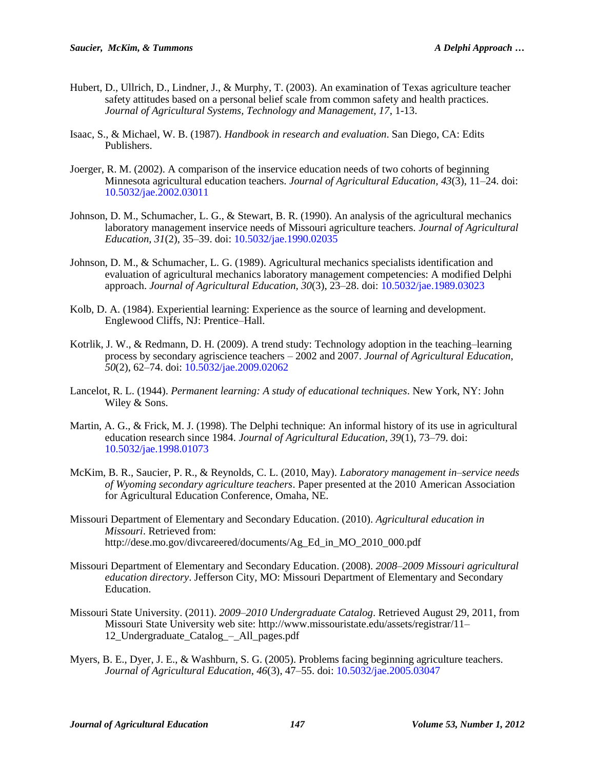- Hubert, D., Ullrich, D., Lindner, J., & Murphy, T. (2003). An examination of Texas agriculture teacher safety attitudes based on a personal belief scale from common safety and health practices. *Journal of Agricultural Systems, Technology and Management, 17*, 1-13.
- Isaac, S., & Michael, W. B. (1987). *Handbook in research and evaluation*. San Diego, CA: Edits Publishers.
- Joerger, R. M. (2002). A comparison of the inservice education needs of two cohorts of beginning Minnesota agricultural education teachers. *Journal of Agricultural Education, 43*(3), 11–24. doi: [10.5032/jae.2002.03011](http://dx.doi.org/10.5032/jae.2002.03011)
- Johnson, D. M., Schumacher, L. G., & Stewart, B. R. (1990). An analysis of the agricultural mechanics laboratory management inservice needs of Missouri agriculture teachers. *Journal of Agricultural Education, 31*(2), 35–39. doi: [10.5032/jae.1990.02035](http://dx.doi.org/10.5032/jae.1990.02035)
- Johnson, D. M., & Schumacher, L. G. (1989). Agricultural mechanics specialists identification and evaluation of agricultural mechanics laboratory management competencies: A modified Delphi approach. *Journal of Agricultural Education, 30*(3), 23–28. doi: [10.5032/jae.1989.03023](http://dx.doi.org/10.5032/jae.1989.03023)
- Kolb, D. A. (1984). Experiential learning: Experience as the source of learning and development. Englewood Cliffs, NJ: Prentice–Hall.
- Kotrlik, J. W., & Redmann, D. H. (2009). A trend study: Technology adoption in the teaching–learning process by secondary agriscience teachers – 2002 and 2007. *Journal of Agricultural Education, 50*(2), 62–74. doi: [10.5032/jae.2009.02062](http://dx.doi.org/10.5032/jae.2009.02062)
- Lancelot, R. L. (1944). *Permanent learning: A study of educational techniques*. New York, NY: John Wiley & Sons.
- Martin, A. G., & Frick, M. J. (1998). The Delphi technique: An informal history of its use in agricultural education research since 1984. *Journal of Agricultural Education, 39*(1), 73–79. doi: [10.5032/jae.1998.01073](http://dx.doi.org/10.5032/jae.1998.01073)
- McKim, B. R., Saucier, P. R., & Reynolds, C. L. (2010, May). *Laboratory management in–service needs of Wyoming secondary agriculture teachers*. Paper presented at the 2010 American Association for Agricultural Education Conference, Omaha, NE.
- Missouri Department of Elementary and Secondary Education. (2010). *Agricultural education in Missouri*. Retrieved from: http://dese.mo.gov/divcareered/documents/Ag\_Ed\_in\_MO\_2010\_000.pdf
- Missouri Department of Elementary and Secondary Education. (2008). *2008–2009 Missouri agricultural education directory*. Jefferson City, MO: Missouri Department of Elementary and Secondary Education.
- Missouri State University. (2011). *2009–2010 Undergraduate Catalog*. Retrieved August 29, 2011, from Missouri State University web site: http://www.missouristate.edu/assets/registrar/11– 12\_Undergraduate\_Catalog\_–\_All\_pages.pdf
- Myers, B. E., Dyer, J. E., & Washburn, S. G. (2005). Problems facing beginning agriculture teachers. *Journal of Agricultural Education, 46*(3), 47–55. doi: [10.5032/jae.2005.03047](http://dx.doi.org/10.5032/jae.2005.03047)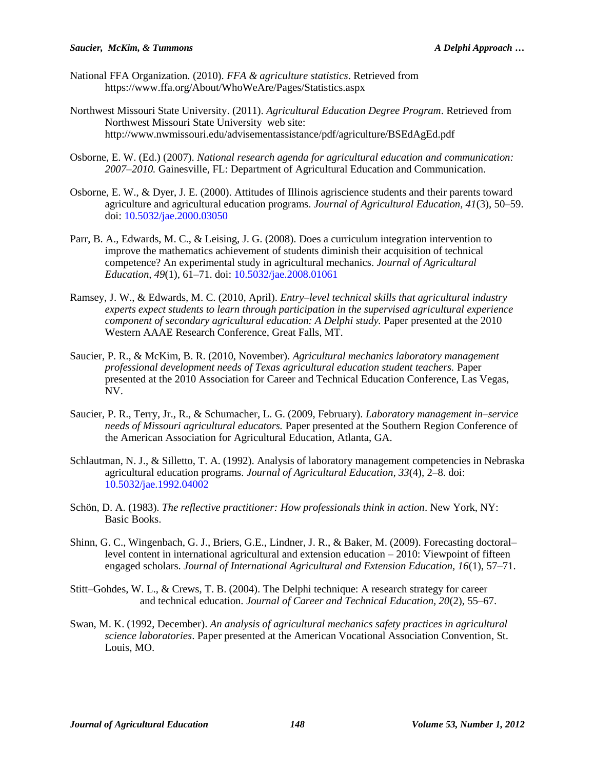- National FFA Organization. (2010). *FFA & agriculture statistics*. Retrieved from https://www.ffa.org/About/WhoWeAre/Pages/Statistics.aspx
- Northwest Missouri State University. (2011). *Agricultural Education Degree Program*. Retrieved from Northwest Missouri State University web site: http://www.nwmissouri.edu/advisementassistance/pdf/agriculture/BSEdAgEd.pdf
- Osborne, E. W. (Ed.) (2007). *National research agenda for agricultural education and communication: 2007–2010.* Gainesville, FL: Department of Agricultural Education and Communication.
- Osborne, E. W., & Dyer, J. E. (2000). Attitudes of Illinois agriscience students and their parents toward agriculture and agricultural education programs. *Journal of Agricultural Education, 41*(3), 50–59. doi: [10.5032/jae.2000.03050](http://dx.doi.org/10.5032/jae.2000.03050)
- Parr, B. A., Edwards, M. C., & Leising, J. G. (2008). Does a curriculum integration intervention to improve the mathematics achievement of students diminish their acquisition of technical competence? An experimental study in agricultural mechanics. *Journal of Agricultural Education, 49*(1), 61–71. doi: [10.5032/jae.2008.01061](http://dx.doi.org/10.5032/jae.2008.01061)
- Ramsey, J. W., & Edwards, M. C. (2010, April). *Entry–level technical skills that agricultural industry experts expect students to learn through participation in the supervised agricultural experience component of secondary agricultural education: A Delphi study.* Paper presented at the 2010 Western AAAE Research Conference, Great Falls, MT*.*
- Saucier, P. R., & McKim, B. R. (2010, November). *Agricultural mechanics laboratory management professional development needs of Texas agricultural education student teachers.* Paper presented at the 2010 Association for Career and Technical Education Conference, Las Vegas, NV.
- Saucier, P. R., Terry, Jr., R., & Schumacher, L. G. (2009, February). *Laboratory management in–service needs of Missouri agricultural educators.* Paper presented at the Southern Region Conference of the American Association for Agricultural Education, Atlanta, GA.
- Schlautman, N. J., & Silletto, T. A. (1992). Analysis of laboratory management competencies in Nebraska agricultural education programs. *Journal of Agricultural Education, 33*(4), 2–8. doi: [10.5032/jae.1992.04002](http://dx.doi.org/10.5032/jae.1992.04002)
- Schön, D. A. (1983). *The reflective practitioner: How professionals think in action*. New York, NY: Basic Books.
- Shinn, G. C., Wingenbach, G. J., Briers, G.E., Lindner, J. R., & Baker, M. (2009). Forecasting doctoral– level content in international agricultural and extension education – 2010: Viewpoint of fifteen engaged scholars. *Journal of International Agricultural and Extension Education, 16*(1), 57–71.
- Stitt–Gohdes, W. L., & Crews, T. B. (2004). The Delphi technique: A research strategy for career and technical education. *Journal of Career and Technical Education, 20*(2), 55–67.
- Swan, M. K. (1992, December). *An analysis of agricultural mechanics safety practices in agricultural science laboratories*. Paper presented at the American Vocational Association Convention*,* St. Louis, MO.